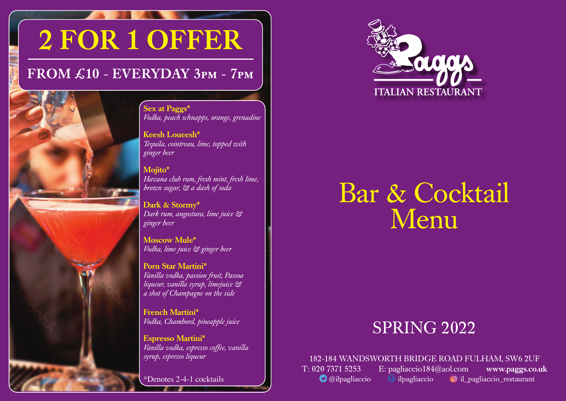# 2 FOR 1 OFFER

## FROM £10 - EVERYDAY 3pm - 7pm

Sex at Paggs\* *Vodka, peach schnapps, orange, grenadine*

Keesh Loueesh\* *Tequila, cointreau, lime, topped with ginger beer*

Mojito\* *Havana club rum, fresh mint, fresh lime, brown sugar, & a dash of soda*

Dark & Stormy\* *Dark rum, angostura, lime juice & ginger beer*

Moscow Mule\* *Vodka, lime juice & ginger beer* 

Porn Star Martini\* *Vanilla vodka, passion fruit, Passoa liqueur, vanilla syrup, limejuice & a shot of Champagne on the side* 

French Martini\* *Vodka, Chambord, pineapple juice*

Espresso Martini\* *Vanilla vodka, espresso coffee, vanilla syrup, espresso liqueur*

\*Denotes 2-4-1 cocktails



## Bar & Cocktail Menu

## **SPRING 2022**

182-184 WANDSWORTH BRIDGE ROAD FULHAM, SW6 2UF

T: 020 7371 5253 E: pagliaccio184@aol.com www.paggs.co.uk **O** @ilpagliaccio il pagliaccio il pagliaccio\_restaurant